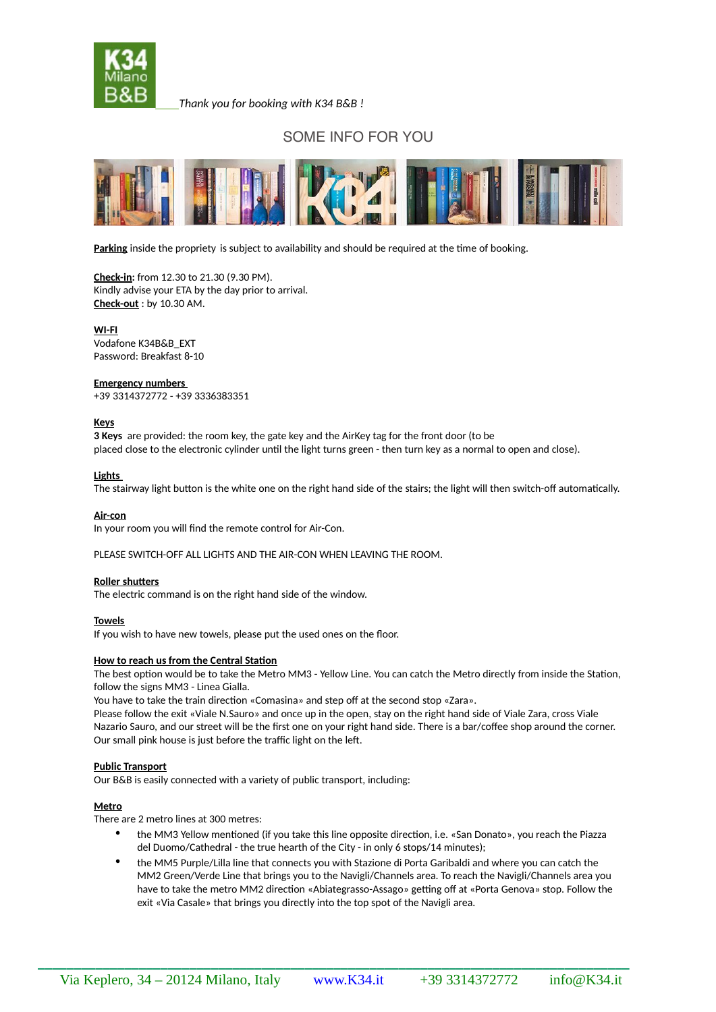

*Thank you for booking with K34 B&B !*

# SOME INFO FOR YOU



**Parking** inside the propriety is subject to availability and should be required at the time of booking.

**Check-in:** from 12.30 to 21.30 (9.30 PM). Kindly advise your ETA by the day prior to arrival. **Check-out** : by 10.30 AM.

**WI-FI** Vodafone K34B&B\_EXT Password: Breakfast 8-10

#### **Emergency numbers**

+39 3314372772 - +39 3336383351

## **Keys**

**3 Keys** are provided: the room key, the gate key and the AirKey tag for the front door (to be placed close to the electronic cylinder until the light turns green - then turn key as a normal to open and close).

## **Lights**

The stairway light button is the white one on the right hand side of the stairs; the light will then switch-off automatically.

**Air-con**

In your room you will find the remote control for Air-Con.

PLEASE SWITCH-OFF ALL LIGHTS AND THE AIR-CON WHEN LEAVING THE ROOM.

## **Roller shutters**

The electric command is on the right hand side of the window.

#### **Towels**

If you wish to have new towels, please put the used ones on the floor.

#### **How to reach us from the Central Station**

The best option would be to take the Metro MM3 - Yellow Line. You can catch the Metro directly from inside the Station, follow the signs MM3 - Linea Gialla.

You have to take the train direction «Comasina» and step off at the second stop «Zara».

Please follow the exit «Viale N.Sauro» and once up in the open, stay on the right hand side of Viale Zara, cross Viale Nazario Sauro, and our street will be the first one on your right hand side. There is a bar/coffee shop around the corner. Our small pink house is just before the traffic light on the left.

## **Public Transport**

Our B&B is easily connected with a variety of public transport, including:

## **Metro**

There are 2 metro lines at 300 metres:

- the MM3 Yellow mentioned (if you take this line opposite direction, i.e. «San Donato», you reach the Piazza del Duomo/Cathedral - the true hearth of the City - in only 6 stops/14 minutes);
- the MM5 Purple/Lilla line that connects you with Stazione di Porta Garibaldi and where you can catch the MM2 Green/Verde Line that brings you to the Navigli/Channels area. To reach the Navigli/Channels area you have to take the metro MM2 direction «Abiategrasso-Assago» getting off at «Porta Genova» stop. Follow the exit «Via Casale» that brings you directly into the top spot of the Navigli area.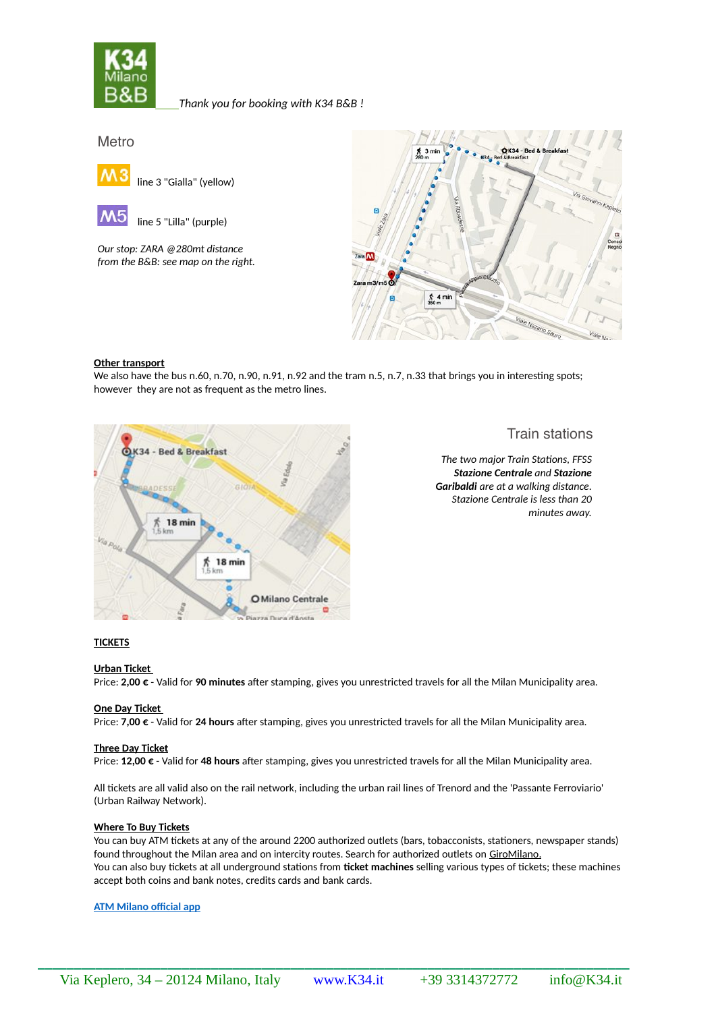

*Thank you for booking with K34 B&B !*

Metro



line 5 "Lilla" (purple)

*Our stop: ZARA @280mt distance from the B&B: see map on the right.*



## **Other transport**

We also have the bus n.60, n.70, n.90, n.91, n.92 and the tram n.5, n.7, n.33 that brings you in interesting spots; however they are not as frequent as the metro lines.



Train stations

*The two major Train Stations, FFSS Stazione Centrale and Stazione Garibaldi are at a walking distance. Stazione Centrale is less than 20 minutes away.*

# **TICKETS**

## **Urban Ticket**

Price: **2,00 €** - Valid for **90 minutes** after stamping, gives you unrestricted travels for all the Milan Municipality area.

## **One Day Ticket**

Price: **7,00 €** - Valid for **24 hours** after stamping, gives you unrestricted travels for all the Milan Municipality area.

## **Three Day Ticket**

Price: **12,00 €** - Valid for **48 hours** after stamping, gives you unrestricted travels for all the Milan Municipality area.

All tickets are all valid also on the rail network, including the urban rail lines of Trenord and the 'Passante Ferroviario' (Urban Railway Network).

## **Where To Buy Tickets**

You can buy ATM tickets at any of the around 2200 authorized outlets (bars, tobacconists, stationers, newspaper stands) found throughout the Milan area and on intercity routes. Search for authorized outlets on [GiroMilano](http://www.atm.it/en/Giromilano/Pages/default_old.aspx) . You can also buy tickets at all underground stations from **ticket machines** selling various types of tickets; these machines accept both coins and bank notes, credits cards and bank cards.

## **[ATM Milano official app](http://www.atm.it/en/ViaggiaConNoi/_layouts/ATM/apps/TellAFriend.aspx?ParentUrl=http%3A%2F%2Fwww.atm.it%2Fen%2FViaggiaConNoi%2FPages%2FATMMobile.aspx&ParentTitle=ATM+Milano+official+app)**